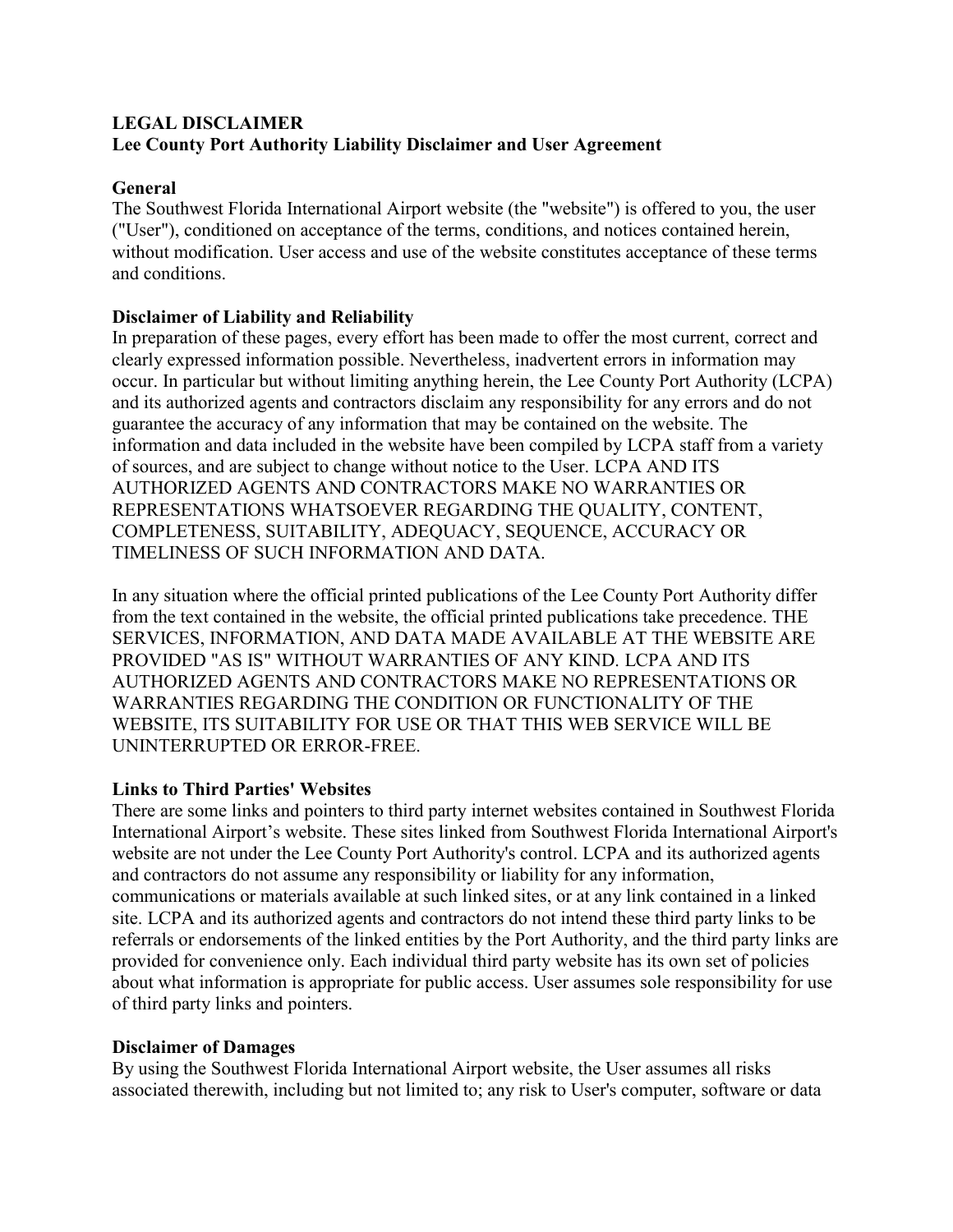# **LEGAL DISCLAIMER Lee County Port Authority Liability Disclaimer and User Agreement**

### **General**

The Southwest Florida International Airport website (the "website") is offered to you, the user ("User"), conditioned on acceptance of the terms, conditions, and notices contained herein, without modification. User access and use of the website constitutes acceptance of these terms and conditions.

## **Disclaimer of Liability and Reliability**

In preparation of these pages, every effort has been made to offer the most current, correct and clearly expressed information possible. Nevertheless, inadvertent errors in information may occur. In particular but without limiting anything herein, the Lee County Port Authority (LCPA) and its authorized agents and contractors disclaim any responsibility for any errors and do not guarantee the accuracy of any information that may be contained on the website. The information and data included in the website have been compiled by LCPA staff from a variety of sources, and are subject to change without notice to the User. LCPA AND ITS AUTHORIZED AGENTS AND CONTRACTORS MAKE NO WARRANTIES OR REPRESENTATIONS WHATSOEVER REGARDING THE QUALITY, CONTENT, COMPLETENESS, SUITABILITY, ADEQUACY, SEQUENCE, ACCURACY OR TIMELINESS OF SUCH INFORMATION AND DATA.

In any situation where the official printed publications of the Lee County Port Authority differ from the text contained in the website, the official printed publications take precedence. THE SERVICES, INFORMATION, AND DATA MADE AVAILABLE AT THE WEBSITE ARE PROVIDED "AS IS" WITHOUT WARRANTIES OF ANY KIND. LCPA AND ITS AUTHORIZED AGENTS AND CONTRACTORS MAKE NO REPRESENTATIONS OR WARRANTIES REGARDING THE CONDITION OR FUNCTIONALITY OF THE WEBSITE, ITS SUITABILITY FOR USE OR THAT THIS WEB SERVICE WILL BE UNINTERRUPTED OR ERROR-FREE.

## **Links to Third Parties' Websites**

There are some links and pointers to third party internet websites contained in Southwest Florida International Airport's website. These sites linked from Southwest Florida International Airport's website are not under the Lee County Port Authority's control. LCPA and its authorized agents and contractors do not assume any responsibility or liability for any information, communications or materials available at such linked sites, or at any link contained in a linked site. LCPA and its authorized agents and contractors do not intend these third party links to be referrals or endorsements of the linked entities by the Port Authority, and the third party links are provided for convenience only. Each individual third party website has its own set of policies about what information is appropriate for public access. User assumes sole responsibility for use of third party links and pointers.

### **Disclaimer of Damages**

By using the Southwest Florida International Airport website, the User assumes all risks associated therewith, including but not limited to; any risk to User's computer, software or data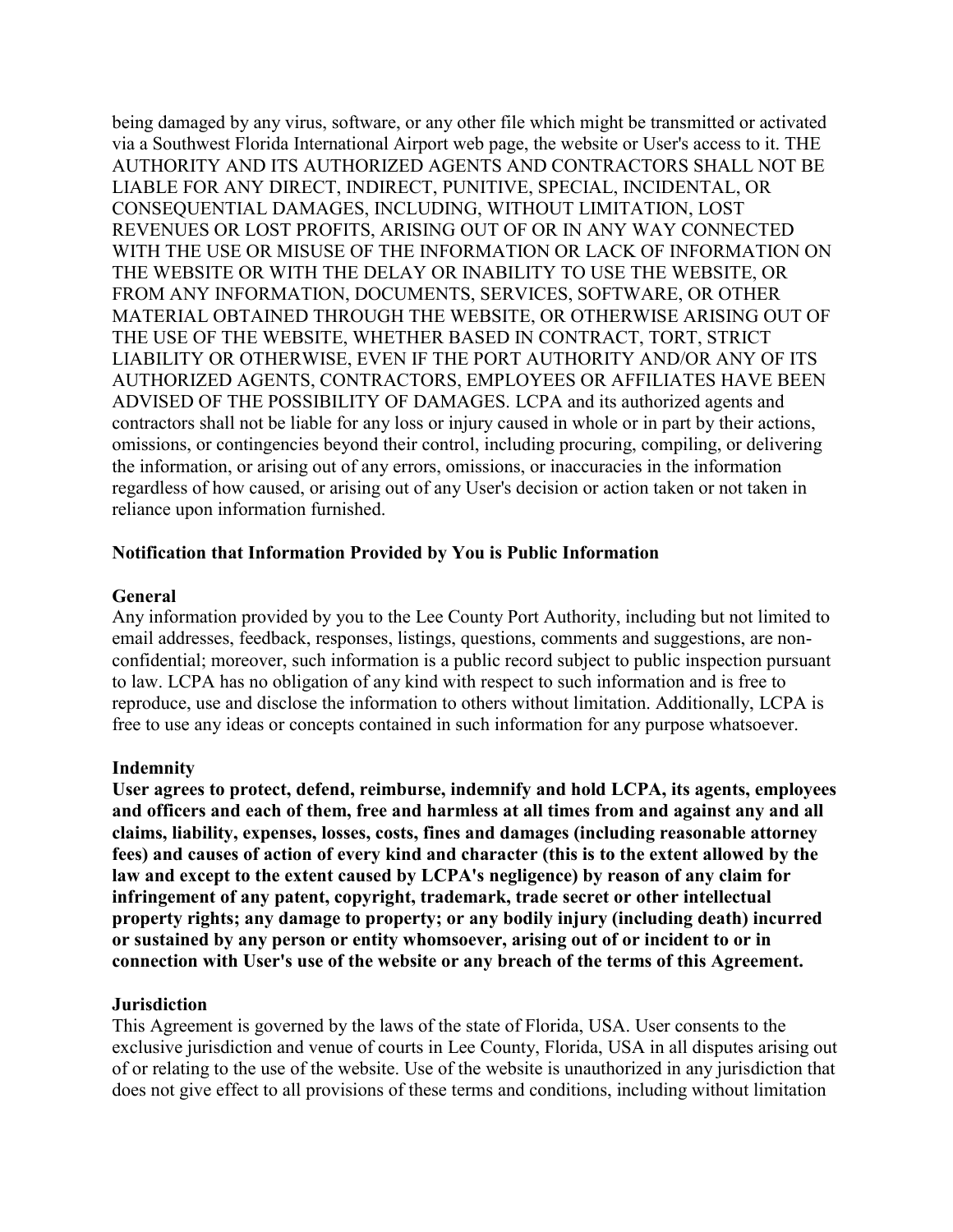being damaged by any virus, software, or any other file which might be transmitted or activated via a Southwest Florida International Airport web page, the website or User's access to it. THE AUTHORITY AND ITS AUTHORIZED AGENTS AND CONTRACTORS SHALL NOT BE LIABLE FOR ANY DIRECT, INDIRECT, PUNITIVE, SPECIAL, INCIDENTAL, OR CONSEQUENTIAL DAMAGES, INCLUDING, WITHOUT LIMITATION, LOST REVENUES OR LOST PROFITS, ARISING OUT OF OR IN ANY WAY CONNECTED WITH THE USE OR MISUSE OF THE INFORMATION OR LACK OF INFORMATION ON THE WEBSITE OR WITH THE DELAY OR INABILITY TO USE THE WEBSITE, OR FROM ANY INFORMATION, DOCUMENTS, SERVICES, SOFTWARE, OR OTHER MATERIAL OBTAINED THROUGH THE WEBSITE, OR OTHERWISE ARISING OUT OF THE USE OF THE WEBSITE, WHETHER BASED IN CONTRACT, TORT, STRICT LIABILITY OR OTHERWISE, EVEN IF THE PORT AUTHORITY AND/OR ANY OF ITS AUTHORIZED AGENTS, CONTRACTORS, EMPLOYEES OR AFFILIATES HAVE BEEN ADVISED OF THE POSSIBILITY OF DAMAGES. LCPA and its authorized agents and contractors shall not be liable for any loss or injury caused in whole or in part by their actions, omissions, or contingencies beyond their control, including procuring, compiling, or delivering the information, or arising out of any errors, omissions, or inaccuracies in the information regardless of how caused, or arising out of any User's decision or action taken or not taken in reliance upon information furnished.

### **Notification that Information Provided by You is Public Information**

#### **General**

Any information provided by you to the Lee County Port Authority, including but not limited to email addresses, feedback, responses, listings, questions, comments and suggestions, are nonconfidential; moreover, such information is a public record subject to public inspection pursuant to law. LCPA has no obligation of any kind with respect to such information and is free to reproduce, use and disclose the information to others without limitation. Additionally, LCPA is free to use any ideas or concepts contained in such information for any purpose whatsoever.

### **Indemnity**

**User agrees to protect, defend, reimburse, indemnify and hold LCPA, its agents, employees and officers and each of them, free and harmless at all times from and against any and all claims, liability, expenses, losses, costs, fines and damages (including reasonable attorney fees) and causes of action of every kind and character (this is to the extent allowed by the law and except to the extent caused by LCPA's negligence) by reason of any claim for infringement of any patent, copyright, trademark, trade secret or other intellectual property rights; any damage to property; or any bodily injury (including death) incurred or sustained by any person or entity whomsoever, arising out of or incident to or in connection with User's use of the website or any breach of the terms of this Agreement.** 

#### **Jurisdiction**

This Agreement is governed by the laws of the state of Florida, USA. User consents to the exclusive jurisdiction and venue of courts in Lee County, Florida, USA in all disputes arising out of or relating to the use of the website. Use of the website is unauthorized in any jurisdiction that does not give effect to all provisions of these terms and conditions, including without limitation